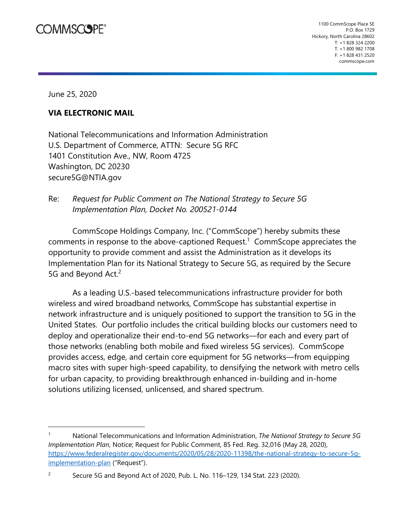## **COMMSCOPE®**

June 25, 2020

## **VIA ELECTRONIC MAIL**

National Telecommunications and Information Administration U.S. Department of Commerce, ATTN: Secure 5G RFC 1401 Constitution Ave., NW, Room 4725 Washington, DC 20230 secure5G@NTIA.gov

Re: *Request for Public Comment on The National Strategy to Secure 5G Implementation Plan, Docket No. 200521-0144* 

CommScope Holdings Company, Inc. ("CommScope") hereby submits these comments in response to the above-captioned Request.<sup>1</sup> CommScope appreciates the opportunity to provide comment and assist the Administration as it develops its Implementation Plan for its National Strategy to Secure 5G, as required by the Secure 5G and Beyond Act.<sup>2</sup>

As a leading U.S.-based telecommunications infrastructure provider for both wireless and wired broadband networks, CommScope has substantial expertise in network infrastructure and is uniquely positioned to support the transition to 5G in the United States. Our portfolio includes the critical building blocks our customers need to deploy and operationalize their end-to-end 5G networks—for each and every part of those networks (enabling both mobile and fixed wireless 5G services). CommScope provides access, edge, and certain core equipment for 5G networks—from equipping macro sites with super high-speed capability, to densifying the network with metro cells for urban capacity, to providing breakthrough enhanced in-building and in-home solutions utilizing licensed, unlicensed, and shared spectrum.

<sup>1</sup> National Telecommunications and Information Administration, *The National Strategy to Secure 5G Implementation Plan*, Notice; Request for Public Comment, 85 Fed. Reg. 32,016 (May 28, 2020), https://www.federalregister.gov/documents/2020/05/28/2020-11398/the-national-strategy-to-secure-5gimplementation-plan ("Request").

<sup>&</sup>lt;sup>2</sup> Secure 5G and Beyond Act of 2020, Pub. L. No. 116–129, 134 Stat. 223 (2020).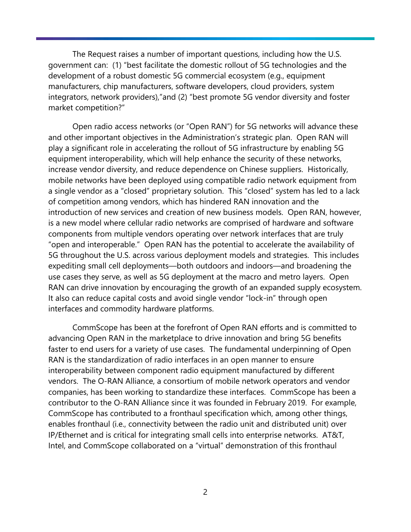The Request raises a number of important questions, including how the U.S. government can: (1) "best facilitate the domestic rollout of 5G technologies and the development of a robust domestic 5G commercial ecosystem (e.g., equipment manufacturers, chip manufacturers, software developers, cloud providers, system integrators, network providers),"and (2) "best promote 5G vendor diversity and foster market competition?"

Open radio access networks (or "Open RAN") for 5G networks will advance these and other important objectives in the Administration's strategic plan. Open RAN will play a significant role in accelerating the rollout of 5G infrastructure by enabling 5G equipment interoperability, which will help enhance the security of these networks, increase vendor diversity, and reduce dependence on Chinese suppliers. Historically, mobile networks have been deployed using compatible radio network equipment from a single vendor as a "closed" proprietary solution. This "closed" system has led to a lack of competition among vendors, which has hindered RAN innovation and the introduction of new services and creation of new business models. Open RAN, however, is a new model where cellular radio networks are comprised of hardware and software components from multiple vendors operating over network interfaces that are truly "open and interoperable." Open RAN has the potential to accelerate the availability of 5G throughout the U.S. across various deployment models and strategies. This includes expediting small cell deployments—both outdoors and indoors—and broadening the use cases they serve, as well as 5G deployment at the macro and metro layers. Open RAN can drive innovation by encouraging the growth of an expanded supply ecosystem. It also can reduce capital costs and avoid single vendor "lock-in" through open interfaces and commodity hardware platforms.

CommScope has been at the forefront of Open RAN efforts and is committed to advancing Open RAN in the marketplace to drive innovation and bring 5G benefits faster to end users for a variety of use cases. The fundamental underpinning of Open RAN is the standardization of radio interfaces in an open manner to ensure interoperability between component radio equipment manufactured by different vendors. The O-RAN Alliance, a consortium of mobile network operators and vendor companies, has been working to standardize these interfaces. CommScope has been a contributor to the O-RAN Alliance since it was founded in February 2019. For example, CommScope has contributed to a fronthaul specification which, among other things, enables fronthaul (i.e., connectivity between the radio unit and distributed unit) over IP/Ethernet and is critical for integrating small cells into enterprise networks. AT&T, Intel, and CommScope collaborated on a "virtual" demonstration of this fronthaul